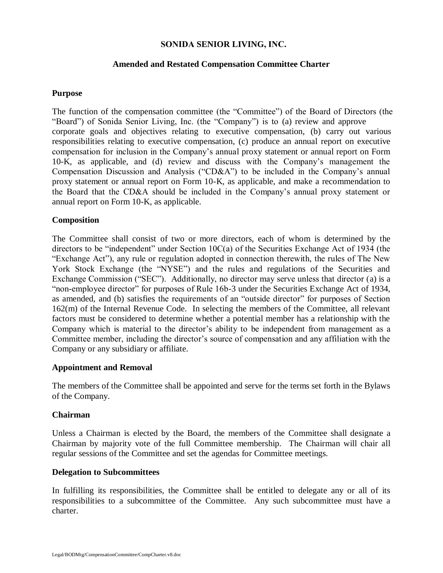## **SONIDA SENIOR LIVING, INC.**

## **Amended and Restated Compensation Committee Charter**

## **Purpose**

The function of the compensation committee (the "Committee") of the Board of Directors (the "Board") of Sonida Senior Living, Inc. (the "Company") is to (a) review and approve corporate goals and objectives relating to executive compensation, (b) carry out various responsibilities relating to executive compensation, (c) produce an annual report on executive compensation for inclusion in the Company's annual proxy statement or annual report on Form 10-K, as applicable, and (d) review and discuss with the Company's management the Compensation Discussion and Analysis ("CD&A") to be included in the Company's annual proxy statement or annual report on Form 10-K, as applicable, and make a recommendation to the Board that the CD&A should be included in the Company's annual proxy statement or annual report on Form 10-K, as applicable.

## **Composition**

The Committee shall consist of two or more directors, each of whom is determined by the directors to be "independent" under Section 10C(a) of the Securities Exchange Act of 1934 (the "Exchange Act"), any rule or regulation adopted in connection therewith, the rules of The New York Stock Exchange (the "NYSE") and the rules and regulations of the Securities and Exchange Commission ("SEC"). Additionally, no director may serve unless that director (a) is a "non-employee director" for purposes of Rule 16b-3 under the Securities Exchange Act of 1934, as amended, and (b) satisfies the requirements of an "outside director" for purposes of Section 162(m) of the Internal Revenue Code. In selecting the members of the Committee, all relevant factors must be considered to determine whether a potential member has a relationship with the Company which is material to the director's ability to be independent from management as a Committee member, including the director's source of compensation and any affiliation with the Company or any subsidiary or affiliate.

#### **Appointment and Removal**

The members of the Committee shall be appointed and serve for the terms set forth in the Bylaws of the Company.

#### **Chairman**

Unless a Chairman is elected by the Board, the members of the Committee shall designate a Chairman by majority vote of the full Committee membership. The Chairman will chair all regular sessions of the Committee and set the agendas for Committee meetings.

#### **Delegation to Subcommittees**

In fulfilling its responsibilities, the Committee shall be entitled to delegate any or all of its responsibilities to a subcommittee of the Committee. Any such subcommittee must have a charter.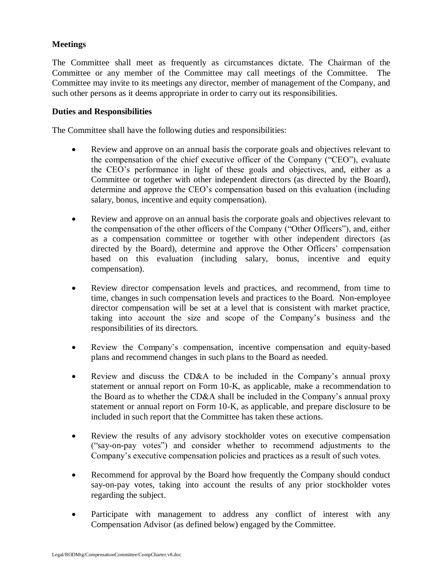# **Meetings**

The Committee shall meet as frequently as circumstances dictate. The Chairman of the Committee or any member of the Committee may call meetings of the Committee. The Committee may invite to its meetings any director, member of management of the Company, and such other persons as it deems appropriate in order to carry out its responsibilities.

## **Duties and Responsibilities**

The Committee shall have the following duties and responsibilities:

- Review and approve on an annual basis the corporate goals and objectives relevant to the compensation of the chief executive officer of the Company ("CEO"), evaluate the CEO's performance in light of these goals and objectives, and, either as a Committee or together with other independent directors (as directed by the Board), determine and approve the CEO's compensation based on this evaluation (including salary, bonus, incentive and equity compensation).
- Review and approve on an annual basis the corporate goals and objectives relevant to the compensation of the other officers of the Company ("Other Officers"), and, either as a compensation committee or together with other independent directors (as directed by the Board), determine and approve the Other Officers' compensation based on this evaluation (including salary, bonus, incentive and equity compensation).
- Review director compensation levels and practices, and recommend, from time to time, changes in such compensation levels and practices to the Board. Non-employee director compensation will be set at a level that is consistent with market practice, taking into account the size and scope of the Company's business and the responsibilities of its directors.
- Review the Company's compensation, incentive compensation and equity-based plans and recommend changes in such plans to the Board as needed.
- Review and discuss the CD&A to be included in the Company's annual proxy statement or annual report on Form 10-K, as applicable, make a recommendation to the Board as to whether the CD&A shall be included in the Company's annual proxy statement or annual report on Form 10-K, as applicable, and prepare disclosure to be included in such report that the Committee has taken these actions.
- Review the results of any advisory stockholder votes on executive compensation ("say-on-pay votes") and consider whether to recommend adjustments to the Company's executive compensation policies and practices as a result of such votes.
- Recommend for approval by the Board how frequently the Company should conduct say-on-pay votes, taking into account the results of any prior stockholder votes regarding the subject.
- Participate with management to address any conflict of interest with any Compensation Advisor (as defined below) engaged by the Committee.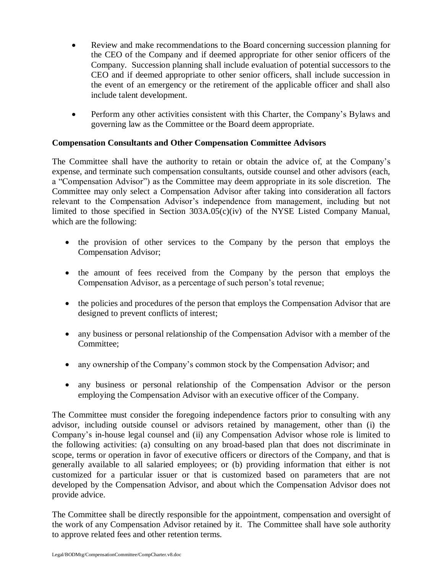- Review and make recommendations to the Board concerning succession planning for the CEO of the Company and if deemed appropriate for other senior officers of the Company. Succession planning shall include evaluation of potential successors to the CEO and if deemed appropriate to other senior officers, shall include succession in the event of an emergency or the retirement of the applicable officer and shall also include talent development.
- Perform any other activities consistent with this Charter, the Company's Bylaws and governing law as the Committee or the Board deem appropriate.

## **Compensation Consultants and Other Compensation Committee Advisors**

The Committee shall have the authority to retain or obtain the advice of, at the Company's expense, and terminate such compensation consultants, outside counsel and other advisors (each, a "Compensation Advisor") as the Committee may deem appropriate in its sole discretion. The Committee may only select a Compensation Advisor after taking into consideration all factors relevant to the Compensation Advisor's independence from management, including but not limited to those specified in Section 303A.05(c)(iv) of the NYSE Listed Company Manual, which are the following:

- the provision of other services to the Company by the person that employs the Compensation Advisor;
- the amount of fees received from the Company by the person that employs the Compensation Advisor, as a percentage of such person's total revenue;
- the policies and procedures of the person that employs the Compensation Advisor that are designed to prevent conflicts of interest;
- any business or personal relationship of the Compensation Advisor with a member of the Committee;
- any ownership of the Company's common stock by the Compensation Advisor; and
- any business or personal relationship of the Compensation Advisor or the person employing the Compensation Advisor with an executive officer of the Company.

The Committee must consider the foregoing independence factors prior to consulting with any advisor, including outside counsel or advisors retained by management, other than (i) the Company's in-house legal counsel and (ii) any Compensation Advisor whose role is limited to the following activities: (a) consulting on any broad-based plan that does not discriminate in scope, terms or operation in favor of executive officers or directors of the Company, and that is generally available to all salaried employees; or (b) providing information that either is not customized for a particular issuer or that is customized based on parameters that are not developed by the Compensation Advisor, and about which the Compensation Advisor does not provide advice.

The Committee shall be directly responsible for the appointment, compensation and oversight of the work of any Compensation Advisor retained by it. The Committee shall have sole authority to approve related fees and other retention terms.